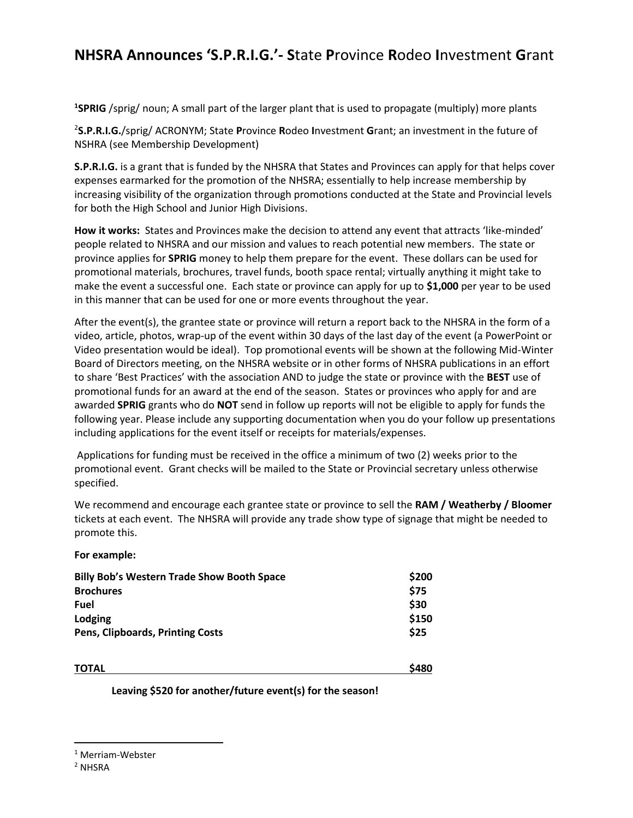## **NHSRA Announces 'S.P.R.I.G.'- S**tate **P**rovince **R**odeo **I**nvestment **G**rant

**1 SPRIG** /sprig/ noun; A small part of the larger plant that is used to propagate (multiply) more plants

2 **S.P.R.I.G.**/sprig/ ACRONYM; State **P**rovince **R**odeo **I**nvestment **G**rant; an investment in the future of NSHRA (see Membership Development)

**S.P.R.I.G.** is a grant that is funded by the NHSRA that States and Provinces can apply for that helps cover expenses earmarked for the promotion of the NHSRA; essentially to help increase membership by increasing visibility of the organization through promotions conducted at the State and Provincial levels for both the High School and Junior High Divisions.

**How it works:** States and Provinces make the decision to attend any event that attracts 'like-minded' people related to NHSRA and our mission and values to reach potential new members. The state or province applies for **SPRIG** money to help them prepare for the event. These dollars can be used for promotional materials, brochures, travel funds, booth space rental; virtually anything it might take to make the event a successful one. Each state or province can apply for up to **\$1,000** per year to be used in this manner that can be used for one or more events throughout the year.

After the event(s), the grantee state or province will return a report back to the NHSRA in the form of a video, article, photos, wrap-up of the event within 30 days of the last day of the event (a PowerPoint or Video presentation would be ideal). Top promotional events will be shown at the following Mid-Winter Board of Directors meeting, on the NHSRA website or in other forms of NHSRA publications in an effort to share 'Best Practices' with the association AND to judge the state or province with the **BEST** use of promotional funds for an award at the end of the season. States or provinces who apply for and are awarded **SPRIG** grants who do **NOT** send in follow up reports will not be eligible to apply for funds the following year. Please include any supporting documentation when you do your follow up presentations including applications for the event itself or receipts for materials/expenses.

Applications for funding must be received in the office a minimum of two (2) weeks prior to the promotional event. Grant checks will be mailed to the State or Provincial secretary unless otherwise specified.

We recommend and encourage each grantee state or province to sell the **RAM / Weatherby / Bloomer** tickets at each event. The NHSRA will provide any trade show type of signage that might be needed to promote this.

**For example:**

| <b>Billy Bob's Western Trade Show Booth Space</b><br><b>Brochures</b><br>Fuel<br>Lodging<br><b>Pens, Clipboards, Printing Costs</b> | \$200<br>\$75<br>\$30<br>\$150<br>\$25 |              |       |
|-------------------------------------------------------------------------------------------------------------------------------------|----------------------------------------|--------------|-------|
|                                                                                                                                     |                                        | <b>TOTAL</b> | \$480 |

**Leaving \$520 for another/future event(s) for the season!**

<sup>1</sup> Merriam-Webster